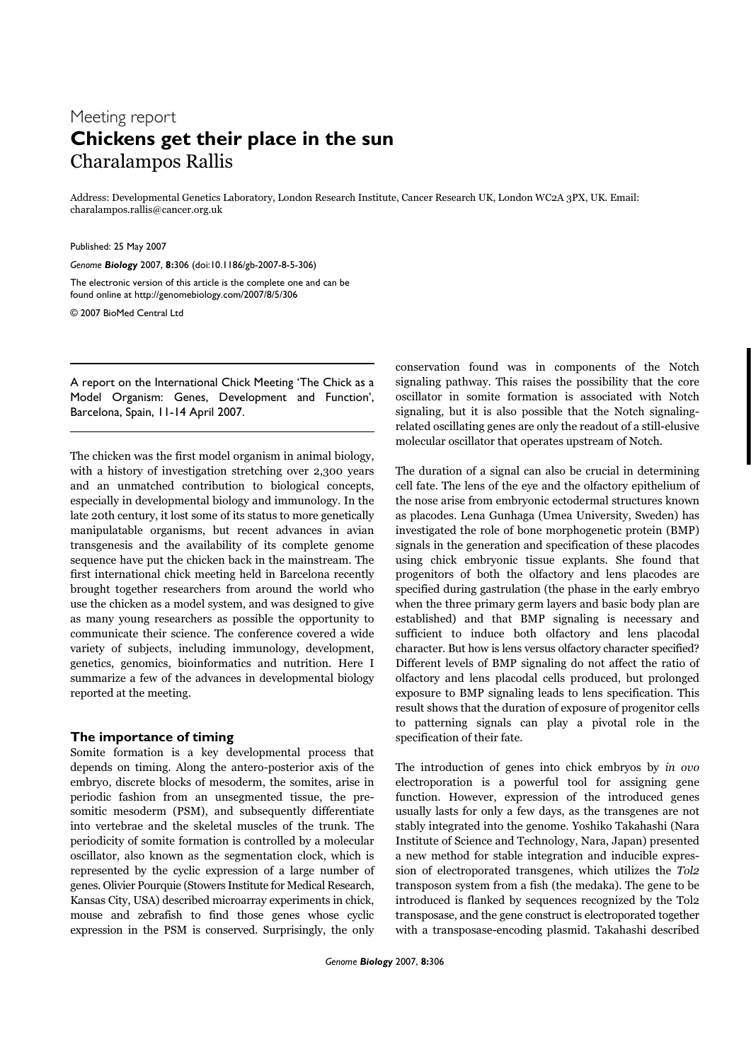# Meeting report **Chickens get their place in the sun** Charalampos Rallis

Address: Developmental Genetics Laboratory, London Research Institute, Cancer Research UK, London WC2A 3PX, UK. Email: charalampos.rallis@cancer.org.uk

Published: 25 May 2007

*Genome Biology* 2007, **8:**306 (doi:10.1186/gb-2007-8-5-306)

The electronic version of this article is the complete one and can be found online at http://genomebiology.com/2007/8/5/306

© 2007 BioMed Central Ltd

A report on the International Chick Meeting 'The Chick as a Model Organism: Genes, Development and Function', Barcelona, Spain, 11-14 April 2007.

The chicken was the first model organism in animal biology, with a history of investigation stretching over 2,300 years and an unmatched contribution to biological concepts, especially in developmental biology and immunology. In the late 20th century, it lost some of its status to more genetically manipulatable organisms, but recent advances in avian transgenesis and the availability of its complete genome sequence have put the chicken back in the mainstream. The first international chick meeting held in Barcelona recently brought together researchers from around the world who use the chicken as a model system, and was designed to give as many young researchers as possible the opportunity to communicate their science. The conference covered a wide variety of subjects, including immunology, development, genetics, genomics, bioinformatics and nutrition. Here I summarize a few of the advances in developmental biology reported at the meeting.

#### **The importance of timing**

Somite formation is a key developmental process that depends on timing. Along the antero-posterior axis of the embryo, discrete blocks of mesoderm, the somites, arise in periodic fashion from an unsegmented tissue, the presomitic mesoderm (PSM), and subsequently differentiate into vertebrae and the skeletal muscles of the trunk. The periodicity of somite formation is controlled by a molecular oscillator, also known as the segmentation clock, which is represented by the cyclic expression of a large number of genes. Olivier Pourquie (Stowers Institute for Medical Research, Kansas City, USA) described microarray experiments in chick, mouse and zebrafish to find those genes whose cyclic expression in the PSM is conserved. Surprisingly, the only conservation found was in components of the Notch signaling pathway. This raises the possibility that the core oscillator in somite formation is associated with Notch signaling, but it is also possible that the Notch signalingrelated oscillating genes are only the readout of a still-elusive molecular oscillator that operates upstream of Notch.

The duration of a signal can also be crucial in determining cell fate. The lens of the eye and the olfactory epithelium of the nose arise from embryonic ectodermal structures known as placodes. Lena Gunhaga (Umea University, Sweden) has investigated the role of bone morphogenetic protein (BMP) signals in the generation and specification of these placodes using chick embryonic tissue explants. She found that progenitors of both the olfactory and lens placodes are specified during gastrulation (the phase in the early embryo when the three primary germ layers and basic body plan are established) and that BMP signaling is necessary and sufficient to induce both olfactory and lens placodal character. But how is lens versus olfactory character specified? Different levels of BMP signaling do not affect the ratio of olfactory and lens placodal cells produced, but prolonged exposure to BMP signaling leads to lens specification. This result shows that the duration of exposure of progenitor cells to patterning signals can play a pivotal role in the specification of their fate.

The introduction of genes into chick embryos by in ovo electroporation is a powerful tool for assigning gene function. However, expression of the introduced genes usually lasts for only a few days, as the transgenes are not stably integrated into the genome. Yoshiko Takahashi (Nara Institute of Science and Technology, Nara, Japan) presented a new method for stable integration and inducible expression of electroporated transgenes, which utilizes the Tol2 transposon system from a fish (the medaka). The gene to be introduced is flanked by sequences recognized by the Tol2 transposase, and the gene construct is electroporated together with a transposase-encoding plasmid. Takahashi described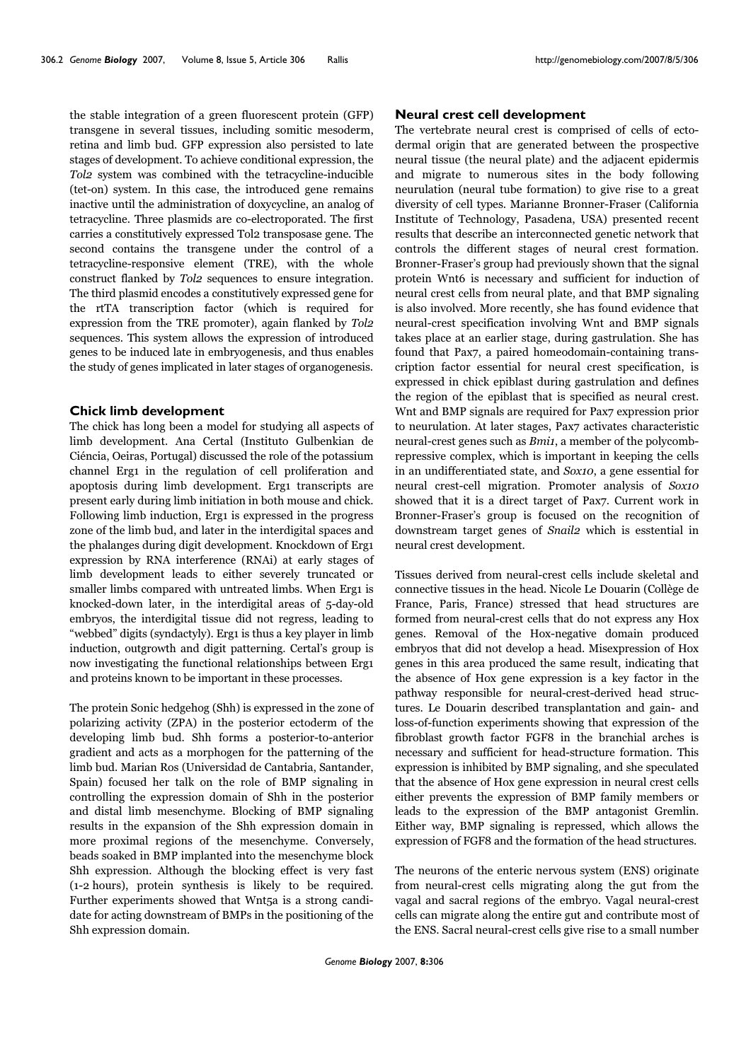the stable integration of a green fluorescent protein (GFP) transgene in several tissues, including somitic mesoderm, retina and limb bud. GFP expression also persisted to late stages of development. To achieve conditional expression, the Tol2 system was combined with the tetracycline-inducible (tet-on) system. In this case, the introduced gene remains inactive until the administration of doxycycline, an analog of tetracycline. Three plasmids are co-electroporated. The first carries a constitutively expressed Tol2 transposase gene. The second contains the transgene under the control of a tetracycline-responsive element (TRE), with the whole construct flanked by Tol2 sequences to ensure integration. The third plasmid encodes a constitutively expressed gene for the rtTA transcription factor (which is required for expression from the TRE promoter), again flanked by Tol2 sequences. This system allows the expression of introduced genes to be induced late in embryogenesis, and thus enables the study of genes implicated in later stages of organogenesis.

#### **Chick limb development**

The chick has long been a model for studying all aspects of limb development. Ana Certal (Instituto Gulbenkian de Ciéncia, Oeiras, Portugal) discussed the role of the potassium channel Erg1 in the regulation of cell proliferation and apoptosis during limb development. Erg1 transcripts are present early during limb initiation in both mouse and chick. Following limb induction, Erg1 is expressed in the progress zone of the limb bud, and later in the interdigital spaces and the phalanges during digit development. Knockdown of Erg1 expression by RNA interference (RNAi) at early stages of limb development leads to either severely truncated or smaller limbs compared with untreated limbs. When Erg1 is knocked-down later, in the interdigital areas of 5-day-old embryos, the interdigital tissue did not regress, leading to "webbed" digits (syndactyly). Erg1 is thus a key player in limb induction, outgrowth and digit patterning. Certal's group is now investigating the functional relationships between Erg1 and proteins known to be important in these processes.

The protein Sonic hedgehog (Shh) is expressed in the zone of polarizing activity (ZPA) in the posterior ectoderm of the developing limb bud. Shh forms a posterior-to-anterior gradient and acts as a morphogen for the patterning of the limb bud. Marian Ros (Universidad de Cantabria, Santander, Spain) focused her talk on the role of BMP signaling in controlling the expression domain of Shh in the posterior and distal limb mesenchyme. Blocking of BMP signaling results in the expansion of the Shh expression domain in more proximal regions of the mesenchyme. Conversely, beads soaked in BMP implanted into the mesenchyme block Shh expression. Although the blocking effect is very fast (1-2 hours), protein synthesis is likely to be required. Further experiments showed that Wnt5a is a strong candidate for acting downstream of BMPs in the positioning of the Shh expression domain.

## **Neural crest cell development**

The vertebrate neural crest is comprised of cells of ectodermal origin that are generated between the prospective neural tissue (the neural plate) and the adjacent epidermis and migrate to numerous sites in the body following neurulation (neural tube formation) to give rise to a great diversity of cell types. Marianne Bronner-Fraser (California Institute of Technology, Pasadena, USA) presented recent results that describe an interconnected genetic network that controls the different stages of neural crest formation. Bronner-Fraser's group had previously shown that the signal protein Wnt6 is necessary and sufficient for induction of neural crest cells from neural plate, and that BMP signaling is also involved. More recently, she has found evidence that neural-crest specification involving Wnt and BMP signals takes place at an earlier stage, during gastrulation. She has found that Pax7, a paired homeodomain-containing transcription factor essential for neural crest specification, is expressed in chick epiblast during gastrulation and defines the region of the epiblast that is specified as neural crest. Wnt and BMP signals are required for Pax7 expression prior to neurulation. At later stages, Pax7 activates characteristic neural-crest genes such as *Bmi1*, a member of the polycombrepressive complex, which is important in keeping the cells in an undifferentiated state, and Sox10, a gene essential for neural crest-cell migration. Promoter analysis of Sox10 showed that it is a direct target of Pax7. Current work in Bronner-Fraser's group is focused on the recognition of downstream target genes of Snail2 which is esstential in neural crest development.

Tissues derived from neural-crest cells include skeletal and connective tissues in the head. Nicole Le Douarin (Collège de France, Paris, France) stressed that head structures are formed from neural-crest cells that do not express any Hox genes. Removal of the Hox-negative domain produced embryos that did not develop a head. Misexpression of Hox genes in this area produced the same result, indicating that the absence of Hox gene expression is a key factor in the pathway responsible for neural-crest-derived head structures. Le Douarin described transplantation and gain- and loss-of-function experiments showing that expression of the fibroblast growth factor FGF8 in the branchial arches is necessary and sufficient for head-structure formation. This expression is inhibited by BMP signaling, and she speculated that the absence of Hox gene expression in neural crest cells either prevents the expression of BMP family members or leads to the expression of the BMP antagonist Gremlin. Either way, BMP signaling is repressed, which allows the expression of FGF8 and the formation of the head structures.

The neurons of the enteric nervous system (ENS) originate from neural-crest cells migrating along the gut from the vagal and sacral regions of the embryo. Vagal neural-crest cells can migrate along the entire gut and contribute most of the ENS. Sacral neural-crest cells give rise to a small number